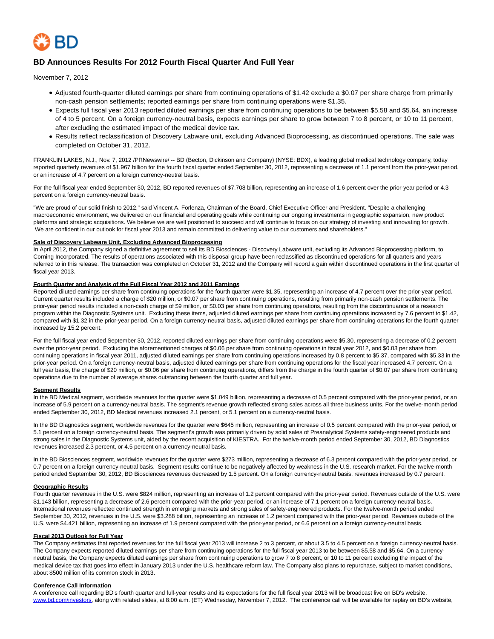

# **BD Announces Results For 2012 Fourth Fiscal Quarter And Full Year**

November 7, 2012

- Adjusted fourth-quarter diluted earnings per share from continuing operations of \$1.42 exclude a \$0.07 per share charge from primarily non-cash pension settlements; reported earnings per share from continuing operations were \$1.35.
- Expects full fiscal year 2013 reported diluted earnings per share from continuing operations to be between \$5.58 and \$5.64, an increase of 4 to 5 percent. On a foreign currency-neutral basis, expects earnings per share to grow between 7 to 8 percent, or 10 to 11 percent, after excluding the estimated impact of the medical device tax.
- Results reflect reclassification of Discovery Labware unit, excluding Advanced Bioprocessing, as discontinued operations. The sale was completed on October 31, 2012.

FRANKLIN LAKES, N.J., Nov. 7, 2012 /PRNewswire/ -- BD (Becton, Dickinson and Company) (NYSE: BDX), a leading global medical technology company, today reported quarterly revenues of \$1.967 billion for the fourth fiscal quarter ended September 30, 2012, representing a decrease of 1.1 percent from the prior-year period, or an increase of 4.7 percent on a foreign currency-neutral basis.

For the full fiscal year ended September 30, 2012, BD reported revenues of \$7.708 billion, representing an increase of 1.6 percent over the prior-year period or 4.3 percent on a foreign currency-neutral basis.

"We are proud of our solid finish to 2012," said Vincent A. Forlenza, Chairman of the Board, Chief Executive Officer and President. "Despite a challenging macroeconomic environment, we delivered on our financial and operating goals while continuing our ongoing investments in geographic expansion, new product platforms and strategic acquisitions. We believe we are well positioned to succeed and will continue to focus on our strategy of investing and innovating for growth. We are confident in our outlook for fiscal year 2013 and remain committed to delivering value to our customers and shareholders."

#### **Sale of Discovery Labware Unit, Excluding Advanced Bioprocessing**

In April 2012, the Company signed a definitive agreement to sell its BD Biosciences - Discovery Labware unit, excluding its Advanced Bioprocessing platform, to Corning Incorporated. The results of operations associated with this disposal group have been reclassified as discontinued operations for all quarters and years referred to in this release. The transaction was completed on October 31, 2012 and the Company will record a gain within discontinued operations in the first quarter of fiscal year 2013.

### **Fourth Quarter and Analysis of the Full Fiscal Year 2012 and 2011 Earnings**

Reported diluted earnings per share from continuing operations for the fourth quarter were \$1.35, representing an increase of 4.7 percent over the prior-year period. Current quarter results included a charge of \$20 million, or \$0.07 per share from continuing operations, resulting from primarily non-cash pension settlements. The prior-year period results included a non-cash charge of \$9 million, or \$0.03 per share from continuing operations, resulting from the discontinuance of a research program within the Diagnostic Systems unit. Excluding these items, adjusted diluted earnings per share from continuing operations increased by 7.6 percent to \$1.42, compared with \$1.32 in the prior-year period. On a foreign currency-neutral basis, adjusted diluted earnings per share from continuing operations for the fourth quarter increased by 15.2 percent.

For the full fiscal year ended September 30, 2012, reported diluted earnings per share from continuing operations were \$5.30, representing a decrease of 0.2 percent over the prior-year period. Excluding the aforementioned charges of \$0.06 per share from continuing operations in fiscal year 2012, and \$0.03 per share from continuing operations in fiscal year 2011, adjusted diluted earnings per share from continuing operations increased by 0.8 percent to \$5.37, compared with \$5.33 in the prior-year period. On a foreign currency-neutral basis, adjusted diluted earnings per share from continuing operations for the fiscal year increased 4.7 percent. On a full year basis, the charge of \$20 million, or \$0.06 per share from continuing operations, differs from the charge in the fourth quarter of \$0.07 per share from continuing operations due to the number of average shares outstanding between the fourth quarter and full year.

#### **Segment Results**

In the BD Medical segment, worldwide revenues for the quarter were \$1.049 billion, representing a decrease of 0.5 percent compared with the prior-year period, or an increase of 5.9 percent on a currency-neutral basis. The segment's revenue growth reflected strong sales across all three business units. For the twelve-month period ended September 30, 2012, BD Medical revenues increased 2.1 percent, or 5.1 percent on a currency-neutral basis.

In the BD Diagnostics segment, worldwide revenues for the quarter were \$645 million, representing an increase of 0.5 percent compared with the prior-year period, or 5.1 percent on a foreign currency-neutral basis. The segment's growth was primarily driven by solid sales of Preanalytical Systems safety-engineered products and strong sales in the Diagnostic Systems unit, aided by the recent acquisition of KIESTRA. For the twelve-month period ended September 30, 2012, BD Diagnostics revenues increased 2.3 percent, or 4.5 percent on a currency-neutral basis.

In the BD Biosciences segment, worldwide revenues for the quarter were \$273 million, representing a decrease of 6.3 percent compared with the prior-year period, or 0.7 percent on a foreign currency-neutral basis. Segment results continue to be negatively affected by weakness in the U.S. research market. For the twelve-month period ended September 30, 2012, BD Biosciences revenues decreased by 1.5 percent. On a foreign currency-neutral basis, revenues increased by 0.7 percent.

#### **Geographic Results**

Fourth quarter revenues in the U.S. were \$824 million, representing an increase of 1.2 percent compared with the prior-year period. Revenues outside of the U.S. were \$1.143 billion, representing a decrease of 2.6 percent compared with the prior-year period, or an increase of 7.1 percent on a foreign currency-neutral basis. International revenues reflected continued strength in emerging markets and strong sales of safety-engineered products. For the twelve-month period ended September 30, 2012, revenues in the U.S. were \$3.288 billion, representing an increase of 1.2 percent compared with the prior-year period. Revenues outside of the U.S. were \$4.421 billion, representing an increase of 1.9 percent compared with the prior-year period, or 6.6 percent on a foreign currency-neutral basis.

### **Fiscal 2013 Outlook for Full Year**

The Company estimates that reported revenues for the full fiscal year 2013 will increase 2 to 3 percent, or about 3.5 to 4.5 percent on a foreign currency-neutral basis. The Company expects reported diluted earnings per share from continuing operations for the full fiscal year 2013 to be between \$5.58 and \$5.64. On a currencyneutral basis, the Company expects diluted earnings per share from continuing operations to grow 7 to 8 percent, or 10 to 11 percent excluding the impact of the medical device tax that goes into effect in January 2013 under the U.S. healthcare reform law. The Company also plans to repurchase, subject to market conditions, about \$500 million of its common stock in 2013.

#### **Conference Call Information**

A conference call regarding BD's fourth quarter and full-year results and its expectations for the full fiscal year 2013 will be broadcast live on BD's website, [www.bd.com/investors,](http://www.bd.com/investors) along with related slides, at 8:00 a.m. (ET) Wednesday, November 7, 2012. The conference call will be available for replay on BD's website,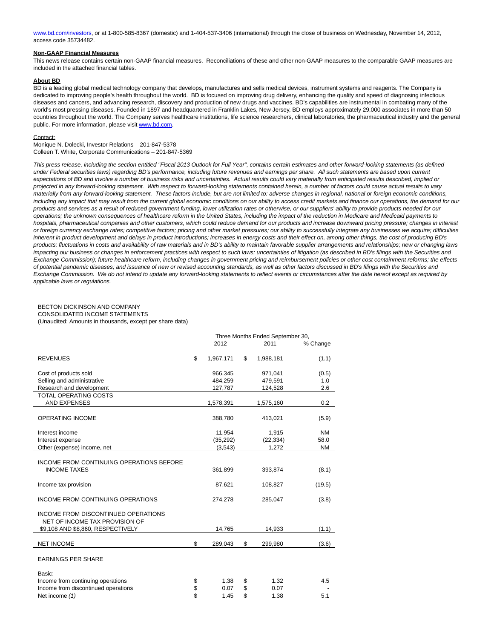[www.bd.com/investors,](http://www.bd.com/investors) or at 1-800-585-8367 (domestic) and 1-404-537-3406 (international) through the close of business on Wednesday, November 14, 2012, access code 35734482.

## **Non-GAAP Financial Measures**

This news release contains certain non-GAAP financial measures. Reconciliations of these and other non-GAAP measures to the comparable GAAP measures are included in the attached financial tables.

#### **About BD**

BD is a leading global medical technology company that develops, manufactures and sells medical devices, instrument systems and reagents. The Company is dedicated to improving people's health throughout the world. BD is focused on improving drug delivery, enhancing the quality and speed of diagnosing infectious diseases and cancers, and advancing research, discovery and production of new drugs and vaccines. BD's capabilities are instrumental in combating many of the world's most pressing diseases. Founded in 1897 and headquartered in Franklin Lakes, New Jersey, BD employs approximately 29,000 associates in more than 50 countries throughout the world. The Company serves healthcare institutions, life science researchers, clinical laboratories, the pharmaceutical industry and the general public. For more information, please visi[t www.bd.com.](http://www.bd.com/)

#### Contact:

Monique N. Dolecki, Investor Relations – 201-847-5378 Colleen T. White, Corporate Communications – 201-847-5369

This press release, including the section entitled "Fiscal 2013 Outlook for Full Year", contains certain estimates and other forward-looking statements (as defined under Federal securities laws) regarding BD's performance, including future revenues and earnings per share. All such statements are based upon current expectations of BD and involve a number of business risks and uncertainties. Actual results could vary materially from anticipated results described, implied or projected in any forward-looking statement. With respect to forward-looking statements contained herein, a number of factors could cause actual results to vary materially from any forward-looking statement. These factors include, but are not limited to: adverse changes in regional, national or foreign economic conditions, including any impact that may result from the current global economic conditions on our ability to access credit markets and finance our operations, the demand for our products and services as a result of reduced government funding, lower utilization rates or otherwise, or our suppliers' ability to provide products needed for our operations; the unknown consequences of healthcare reform in the United States, including the impact of the reduction in Medicare and Medicaid payments to hospitals, pharmaceutical companies and other customers, which could reduce demand for our products and increase downward pricing pressure; changes in interest or foreign currency exchange rates; competitive factors; pricing and other market pressures; our ability to successfully integrate any businesses we acquire; difficulties inherent in product development and delays in product introductions; increases in energy costs and their effect on, among other things, the cost of producing BD's products; fluctuations in costs and availability of raw materials and in BD's ability to maintain favorable supplier arrangements and relationships; new or changing laws impacting our business or changes in enforcement practices with respect to such laws; uncertainties of litigation (as described in BD's filings with the Securities and Exchange Commission); future healthcare reform, including changes in government pricing and reimbursement policies or other cost containment reforms; the effects of potential pandemic diseases; and issuance of new or revised accounting standards, as well as other factors discussed in BD's filings with the Securities and Exchange Commission. We do not intend to update any forward-looking statements to reflect events or circumstances after the date hereof except as required by applicable laws or regulations.

#### BECTON DICKINSON AND COMPANY CONSOLIDATED INCOME STATEMENTS

(Unaudited; Amounts in thousands, except per share data)

|                                                                       |                 | Three Months Ended September 30, |           |           |
|-----------------------------------------------------------------------|-----------------|----------------------------------|-----------|-----------|
|                                                                       | 2012            |                                  | 2011      | % Change  |
| <b>REVENUES</b>                                                       | \$<br>1,967,171 | \$                               | 1,988,181 | (1.1)     |
| Cost of products sold                                                 | 966,345         |                                  | 971,041   | (0.5)     |
| Selling and administrative                                            | 484,259         |                                  | 479,591   | 1.0       |
| Research and development                                              | 127,787         |                                  | 124,528   | 2.6       |
| <b>TOTAL OPERATING COSTS</b>                                          |                 |                                  |           |           |
| <b>AND EXPENSES</b>                                                   | 1,578,391       |                                  | 1,575,160 | 0.2       |
| <b>OPERATING INCOME</b>                                               | 388,780         |                                  | 413,021   | (5.9)     |
| Interest income                                                       | 11,954          |                                  | 1,915     | <b>NM</b> |
| Interest expense                                                      | (35, 292)       |                                  | (22, 334) | 58.0      |
| Other (expense) income, net                                           | (3,543)         |                                  | 1,272     | <b>NM</b> |
| INCOME FROM CONTINUING OPERATIONS BEFORE<br><b>INCOME TAXES</b>       | 361,899         |                                  | 393,874   | (8.1)     |
| Income tax provision                                                  | 87,621          |                                  | 108,827   | (19.5)    |
| INCOME FROM CONTINUING OPERATIONS                                     | 274,278         |                                  | 285,047   | (3.8)     |
| INCOME FROM DISCONTINUED OPERATIONS<br>NET OF INCOME TAX PROVISION OF |                 |                                  |           |           |
| \$9,108 AND \$8,860, RESPECTIVELY                                     | 14,765          |                                  | 14,933    | (1.1)     |
| <b>NET INCOME</b>                                                     | \$<br>289,043   | \$                               | 299,980   | (3.6)     |
| <b>EARNINGS PER SHARE</b>                                             |                 |                                  |           |           |
| Basic:                                                                |                 |                                  |           |           |
| Income from continuing operations                                     | \$<br>1.38      | \$                               | 1.32      | 4.5       |
| Income from discontinued operations                                   | \$<br>0.07      | \$                               | 0.07      |           |
| Net income (1)                                                        | \$<br>1.45      | \$                               | 1.38      | 5.1       |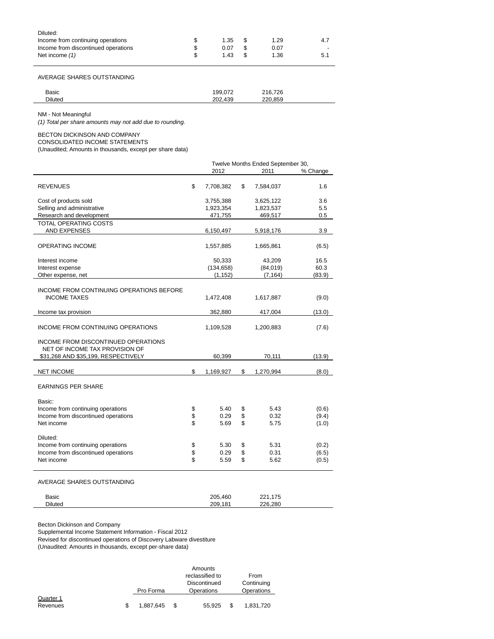| Diluted:                            |            |      |                          |
|-------------------------------------|------------|------|--------------------------|
| Income from continuing operations   | $1.35$ \$  | 1.29 | 4.7                      |
| Income from discontinued operations | 0.07       | 0.07 | $\overline{\phantom{0}}$ |
| Net income (1)                      | \$<br>1.43 | 1.36 | 5.1                      |

AVERAGE SHARES OUTSTANDING

| Basic          | $\sim$<br>'99.         | 216.726 |  |
|----------------|------------------------|---------|--|
| <b>Diluted</b> | 10 <sup>o</sup><br>ാറ് | 220 850 |  |
|                |                        |         |  |

NM - Not Meaningful

 $\overline{\phantom{0}}$ 

(1) Total per share amounts may not add due to rounding.

## BECTON DICKINSON AND COMPANY

CONSOLIDATED INCOME STATEMENTS

(Unaudited; Amounts in thousands, except per share data)

|                                                                       |          | Twelve Months Ended September 30, |          |              |                |  |
|-----------------------------------------------------------------------|----------|-----------------------------------|----------|--------------|----------------|--|
|                                                                       |          | 2012                              | 2011     | % Change     |                |  |
| <b>REVENUES</b>                                                       | \$       | 7,708,382                         | \$       | 7,584,037    | 1.6            |  |
| Cost of products sold                                                 |          | 3,755,388                         |          | 3,625,122    | 3.6            |  |
| Selling and administrative                                            |          | 1,923,354                         |          | 1,823,537    | 5.5            |  |
| Research and development                                              |          | 471,755                           |          | 469,517      | 0.5            |  |
| TOTAL OPERATING COSTS<br><b>AND EXPENSES</b>                          |          | 6,150,497                         |          | 5,918,176    | 3.9            |  |
|                                                                       |          |                                   |          |              |                |  |
| <b>OPERATING INCOME</b>                                               |          | 1,557,885                         |          | 1,665,861    | (6.5)          |  |
| Interest income                                                       |          | 50,333                            |          | 43,209       | 16.5           |  |
| Interest expense                                                      |          | (134, 658)                        |          | (84, 019)    | 60.3           |  |
| Other expense, net                                                    |          | (1, 152)                          |          | (7, 164)     | (83.9)         |  |
| INCOME FROM CONTINUING OPERATIONS BEFORE<br><b>INCOME TAXES</b>       |          | 1,472,408                         |          | 1,617,887    | (9.0)          |  |
| Income tax provision                                                  |          | 362,880                           |          | 417,004      | (13.0)         |  |
|                                                                       |          |                                   |          |              |                |  |
| INCOME FROM CONTINUING OPERATIONS                                     |          | 1,109,528                         |          | 1,200,883    | (7.6)          |  |
| INCOME FROM DISCONTINUED OPERATIONS<br>NET OF INCOME TAX PROVISION OF |          |                                   |          |              |                |  |
| \$31,268 AND \$35,199, RESPECTIVELY                                   |          | 60,399                            |          | 70,111       | (13.9)         |  |
| <b>NET INCOME</b>                                                     | \$       | 1,169,927                         | \$       | 1,270,994    | (8.0)          |  |
|                                                                       |          |                                   |          |              |                |  |
| <b>EARNINGS PER SHARE</b>                                             |          |                                   |          |              |                |  |
| Basic:                                                                |          |                                   |          |              |                |  |
| Income from continuing operations                                     | \$       | 5.40                              | \$       | 5.43         | (0.6)          |  |
| Income from discontinued operations                                   | \$       | 0.29                              | \$       | 0.32         | (9.4)          |  |
| Net income                                                            | \$       | 5.69                              | \$       | 5.75         | (1.0)          |  |
|                                                                       |          |                                   |          |              |                |  |
| Diluted:                                                              |          |                                   |          |              |                |  |
| Income from continuing operations                                     | \$       | 5.30                              | \$       | 5.31         | (0.2)          |  |
| Income from discontinued operations<br>Net income                     | \$<br>\$ | 0.29<br>5.59                      | \$<br>\$ | 0.31<br>5.62 | (6.5)<br>(0.5) |  |
|                                                                       |          |                                   |          |              |                |  |
|                                                                       |          |                                   |          |              |                |  |

AVERAGE SHARES OUTSTANDING

| Basic          | 205,460 | $1 - r$<br>つつイ<br>175<br>44 I . |  |
|----------------|---------|---------------------------------|--|
| <b>Diluted</b> | 209.181 | 226.280                         |  |

Becton Dickinson and Company

Supplemental Income Statement Information - Fiscal 2012

Revised for discontinued operations of Discovery Labware divestiture

(Unaudited: Amounts in thousands, except per-share data)

|                       |                 | Amounts<br>reclassified to | From                     |
|-----------------------|-----------------|----------------------------|--------------------------|
|                       | Pro Forma       | Discontinued<br>Operations | Continuing<br>Operations |
| Quarter 1<br>Revenues | \$<br>1,887,645 | 55.925                     | 1,831,720                |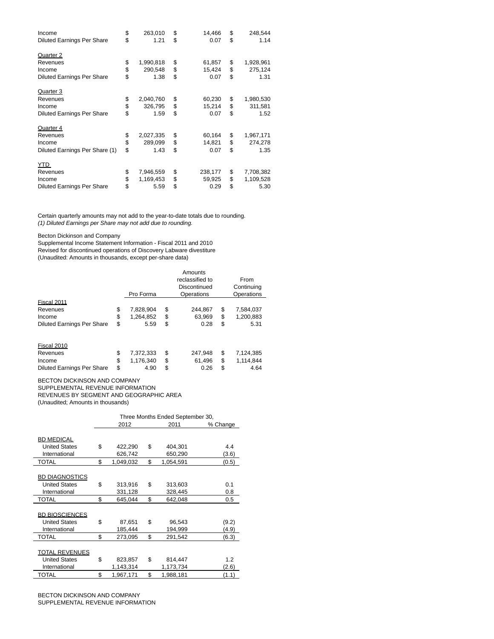| Income                            | \$<br>263,010   | \$<br>14,466  | \$<br>248,544   |
|-----------------------------------|-----------------|---------------|-----------------|
| <b>Diluted Earnings Per Share</b> | \$<br>1.21      | \$<br>0.07    | \$<br>1.14      |
| Quarter 2                         |                 |               |                 |
| Revenues                          | \$<br>1,990,818 | \$<br>61,857  | \$<br>1,928,961 |
| Income                            | \$<br>290,548   | \$<br>15,424  | \$<br>275,124   |
| <b>Diluted Earnings Per Share</b> | \$<br>1.38      | \$<br>0.07    | \$<br>1.31      |
| Quarter 3                         |                 |               |                 |
| Revenues                          | \$<br>2,040,760 | \$<br>60,230  | \$<br>1,980,530 |
| Income                            | \$<br>326,795   | \$<br>15,214  | \$<br>311,581   |
| <b>Diluted Earnings Per Share</b> | \$<br>1.59      | \$<br>0.07    | \$<br>1.52      |
| Quarter 4                         |                 |               |                 |
| Revenues                          | \$<br>2,027,335 | \$<br>60,164  | \$<br>1,967,171 |
| Income                            | \$<br>289,099   | \$<br>14,821  | \$<br>274,278   |
| Diluted Earnings Per Share (1)    | \$<br>1.43      | \$<br>0.07    | \$<br>1.35      |
| YTD                               |                 |               |                 |
| Revenues                          | \$<br>7,946,559 | \$<br>238,177 | \$<br>7,708,382 |
| Income                            | \$<br>1,169,453 | \$<br>59,925  | \$<br>1,109,528 |
| <b>Diluted Earnings Per Share</b> | \$<br>5.59      | \$<br>0.29    | \$<br>5.30      |

Certain quarterly amounts may not add to the year-to-date totals due to rounding. (1) Diluted Earnings per Share may not add due to rounding.

Becton Dickinson and Company

Supplemental Income Statement Information - Fiscal 2011 and 2010 Revised for discontinued operations of Discovery Labware divestiture (Unaudited: Amounts in thousands, except per-share data)

|                                   |                 | Amounts         |                 |
|-----------------------------------|-----------------|-----------------|-----------------|
|                                   |                 | reclassified to | From            |
|                                   |                 | Discontinued    | Continuing      |
|                                   | Pro Forma       | Operations      | Operations      |
| Fiscal 2011                       |                 |                 |                 |
| Revenues                          | \$<br>7,828,904 | \$<br>244.867   | \$<br>7,584,037 |
| Income                            | \$<br>1,264,852 | \$<br>63,969    | \$<br>1,200,883 |
| <b>Diluted Earnings Per Share</b> | \$<br>5.59      | \$<br>0.28      | \$<br>5.31      |
| Fiscal 2010                       |                 |                 |                 |
| Revenues                          | \$<br>7,372,333 | \$<br>247,948   | \$<br>7,124,385 |
| Income                            | \$<br>1,176,340 | \$<br>61,496    | \$<br>1,114,844 |
| <b>Diluted Earnings Per Share</b> | \$<br>4.90      | \$<br>0.26      | \$<br>4.64      |

BECTON DICKINSON AND COMPANY SUPPLEMENTAL REVENUE INFORMATION REVENUES BY SEGMENT AND GEOGRAPHIC AREA (Unaudited; Amounts in thousands)

|                       | Three Months Ended September 30, |           |    |           |          |  |  |
|-----------------------|----------------------------------|-----------|----|-----------|----------|--|--|
|                       |                                  | 2012      |    | 2011      | % Change |  |  |
|                       |                                  |           |    |           |          |  |  |
| <b>BD MEDICAL</b>     |                                  |           |    |           |          |  |  |
| <b>United States</b>  | \$                               | 422,290   | \$ | 404,301   | 4.4      |  |  |
| International         |                                  | 626,742   |    | 650,290   | (3.6)    |  |  |
| <b>TOTAL</b>          | \$                               | 1,049,032 | \$ | 1,054,591 | (0.5)    |  |  |
|                       |                                  |           |    |           |          |  |  |
| <b>BD DIAGNOSTICS</b> |                                  |           |    |           |          |  |  |
| <b>United States</b>  | \$                               | 313,916   | \$ | 313,603   | 0.1      |  |  |
| International         |                                  | 331,128   |    | 328,445   | 0.8      |  |  |
| <b>TOTAL</b>          | \$                               | 645.044   | \$ | 642.048   | 0.5      |  |  |
|                       |                                  |           |    |           |          |  |  |
| <b>BD BIOSCIENCES</b> |                                  |           |    |           |          |  |  |
| <b>United States</b>  | \$                               | 87,651    | \$ | 96,543    | (9.2)    |  |  |
| International         |                                  | 185,444   |    | 194,999   | (4.9)    |  |  |
| <b>TOTAL</b>          | \$                               | 273,095   | \$ | 291,542   | (6.3)    |  |  |
|                       |                                  |           |    |           |          |  |  |
| <b>TOTAL REVENUES</b> |                                  |           |    |           |          |  |  |
| <b>United States</b>  | \$                               | 823,857   | \$ | 814,447   | 1.2      |  |  |
| International         |                                  | 1,143,314 |    | 1,173,734 | (2.6)    |  |  |
| TOTAL                 | \$                               | 1,967,171 | \$ | 1,988,181 | (1.1)    |  |  |

BECTON DICKINSON AND COMPANY SUPPLEMENTAL REVENUE INFORMATION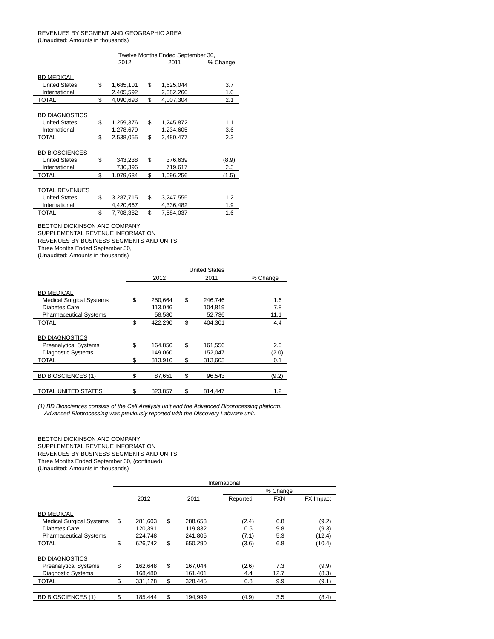### REVENUES BY SEGMENT AND GEOGRAPHIC AREA (Unaudited; Amounts in thousands)

|                       | Twelve Months Ended September 30, |           |    |           |          |  |  |  |
|-----------------------|-----------------------------------|-----------|----|-----------|----------|--|--|--|
|                       |                                   | 2012      |    | 2011      | % Change |  |  |  |
|                       |                                   |           |    |           |          |  |  |  |
| <b>BD MEDICAL</b>     |                                   |           |    |           |          |  |  |  |
| <b>United States</b>  | \$                                | 1,685,101 | \$ | 1,625,044 | 3.7      |  |  |  |
| International         |                                   | 2,405,592 |    | 2,382,260 | 1.0      |  |  |  |
| <b>TOTAL</b>          | \$                                | 4,090,693 | \$ | 4,007,304 | 2.1      |  |  |  |
|                       |                                   |           |    |           |          |  |  |  |
| <b>BD DIAGNOSTICS</b> |                                   |           |    |           |          |  |  |  |
| <b>United States</b>  | \$                                | 1,259,376 | \$ | 1,245,872 | 1.1      |  |  |  |
| International         |                                   | 1,278,679 |    | 1,234,605 | 3.6      |  |  |  |
| TOTAL                 | \$                                | 2,538,055 | \$ | 2,480,477 | 2.3      |  |  |  |
|                       |                                   |           |    |           |          |  |  |  |
| <b>BD BIOSCIENCES</b> |                                   |           |    |           |          |  |  |  |
| <b>United States</b>  | \$                                | 343,238   | \$ | 376,639   | (8.9)    |  |  |  |
| International         |                                   | 736,396   |    | 719,617   | 2.3      |  |  |  |
| <b>TOTAL</b>          | \$                                | 1,079,634 | \$ | 1,096,256 | (1.5)    |  |  |  |
|                       |                                   |           |    |           |          |  |  |  |
| TOTAL REVENUES        |                                   |           |    |           |          |  |  |  |
| <b>United States</b>  | \$                                | 3,287,715 | \$ | 3,247,555 | 1.2      |  |  |  |
| International         |                                   | 4,420,667 |    | 4,336,482 | 1.9      |  |  |  |
| TOTAL                 | \$                                | 7,708,382 | \$ | 7,584,037 | 1.6      |  |  |  |
|                       |                                   |           |    |           |          |  |  |  |

BECTON DICKINSON AND COMPANY

SUPPLEMENTAL REVENUE INFORMATION

REVENUES BY BUSINESS SEGMENTS AND UNITS

Three Months Ended September 30,

(Unaudited; Amounts in thousands)

|                                 | <b>United States</b> |    |         |          |  |  |  |  |
|---------------------------------|----------------------|----|---------|----------|--|--|--|--|
|                                 | 2012                 |    | 2011    | % Change |  |  |  |  |
| <b>BD MEDICAL</b>               |                      |    |         |          |  |  |  |  |
| <b>Medical Surgical Systems</b> | \$<br>250,664        | \$ | 246,746 | 1.6      |  |  |  |  |
| Diabetes Care                   | 113,046              |    | 104,819 | 7.8      |  |  |  |  |
| <b>Pharmaceutical Systems</b>   | 58.580               |    | 52.736  | 11.1     |  |  |  |  |
| TOTAL                           | \$<br>422,290        | \$ | 404.301 | 4.4      |  |  |  |  |
| <b>BD DIAGNOSTICS</b>           |                      |    |         |          |  |  |  |  |
| <b>Preanalytical Systems</b>    | \$<br>164.856        | \$ | 161,556 | 2.0      |  |  |  |  |
| <b>Diagnostic Systems</b>       | 149,060              |    | 152,047 | (2.0)    |  |  |  |  |
| TOTAL                           | \$<br>313.916        | \$ | 313.603 | 0.1      |  |  |  |  |
|                                 |                      |    |         |          |  |  |  |  |
| <b>BD BIOSCIENCES (1)</b>       | \$<br>87,651         | \$ | 96.543  | (9.2)    |  |  |  |  |
| TOTAL UNITED STATES             | \$<br>823,857        | \$ | 814.447 | 1.2      |  |  |  |  |

(1) BD Biosciences consists of the Cell Analysis unit and the Advanced Bioprocessing platform. Advanced Bioprocessing was previously reported with the Discovery Labware unit.

BECTON DICKINSON AND COMPANY SUPPLEMENTAL REVENUE INFORMATION REVENUES BY BUSINESS SEGMENTS AND UNITS Three Months Ended September 30, (continued) (Unaudited; Amounts in thousands)

|                                 |               |               | International |            |           |
|---------------------------------|---------------|---------------|---------------|------------|-----------|
|                                 |               |               |               | % Change   |           |
|                                 | 2012          | 2011          | Reported      | <b>FXN</b> | FX Impact |
| <b>BD MEDICAL</b>               |               |               |               |            |           |
| <b>Medical Surgical Systems</b> | \$<br>281,603 | \$<br>288,653 | (2.4)         | 6.8        | (9.2)     |
| Diabetes Care                   | 120.391       | 119,832       | 0.5           | 9.8        | (9.3)     |
| <b>Pharmaceutical Systems</b>   | 224.748       | 241.805       | (7.1)         | 5.3        | (12.4)    |
| <b>TOTAL</b>                    | \$<br>626,742 | \$<br>650,290 | (3.6)         | 6.8        | (10.4)    |
| <b>BD DIAGNOSTICS</b>           |               |               |               |            |           |
| <b>Preanalytical Systems</b>    | \$<br>162.648 | \$<br>167,044 | (2.6)         | 7.3        | (9.9)     |
| <b>Diagnostic Systems</b>       | 168.480       | 161.401       | 4.4           | 12.7       | (8.3)     |
| <b>TOTAL</b>                    | \$<br>331,128 | \$<br>328,445 | 0.8           | 9.9        | (9.1)     |
|                                 |               |               |               |            |           |
| <b>BD BIOSCIENCES (1)</b>       | \$<br>185.444 | \$<br>194,999 | (4.9)         | 3.5        | (8.4)     |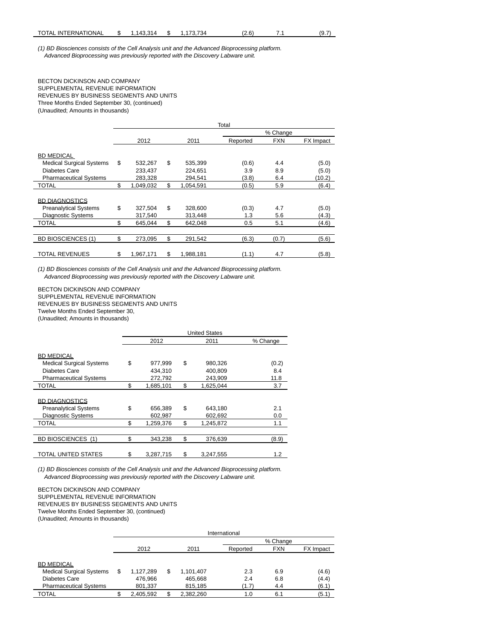(1) BD Biosciences consists of the Cell Analysis unit and the Advanced Bioprocessing platform. Advanced Bioprocessing was previously reported with the Discovery Labware unit.

### BECTON DICKINSON AND COMPANY SUPPLEMENTAL REVENUE INFORMATION REVENUES BY BUSINESS SEGMENTS AND UNITS Three Months Ended September 30, (continued) (Unaudited; Amounts in thousands)

|                                                                       | Total |                    |          |                    |              |            |                |  |  |  |  |
|-----------------------------------------------------------------------|-------|--------------------|----------|--------------------|--------------|------------|----------------|--|--|--|--|
|                                                                       |       |                    | % Change |                    |              |            |                |  |  |  |  |
|                                                                       |       | 2012               |          | 2011               | Reported     | <b>FXN</b> | FX Impact      |  |  |  |  |
| <b>BD MEDICAL</b><br><b>Medical Surgical Systems</b><br>Diabetes Care | \$    | 532,267<br>233.437 | \$       | 535,399<br>224,651 | (0.6)<br>3.9 | 4.4<br>8.9 | (5.0)<br>(5.0) |  |  |  |  |
| <b>Pharmaceutical Systems</b>                                         |       | 283,328            |          | 294,541            | (3.8)        | 6.4        | (10.2)         |  |  |  |  |
| TOTAL                                                                 | \$    | 1,049,032          | \$       | 1,054,591          | (0.5)        | 5.9        | (6.4)          |  |  |  |  |
| <b>BD DIAGNOSTICS</b><br><b>Preanalytical Systems</b>                 | \$    | 327,504            | \$       | 328,600            | (0.3)        | 4.7        | (5.0)          |  |  |  |  |
| <b>Diagnostic Systems</b>                                             |       | 317,540            |          | 313,448            | 1.3          | 5.6        | (4.3)          |  |  |  |  |
| TOTAL                                                                 | \$    | 645,044            | \$       | 642,048            | 0.5          | 5.1        | (4.6)          |  |  |  |  |
| <b>BD BIOSCIENCES (1)</b>                                             | \$    | 273,095            | \$       | 291.542            | (6.3)        | (0.7)      | (5.6)          |  |  |  |  |
| <b>TOTAL REVENUES</b>                                                 | \$    | 1,967,171          | \$       | 1.988.181          | (1.1)        | 4.7        | (5.8)          |  |  |  |  |

(1) BD Biosciences consists of the Cell Analysis unit and the Advanced Bioprocessing platform. Advanced Bioprocessing was previously reported with the Discovery Labware unit.

BECTON DICKINSON AND COMPANY SUPPLEMENTAL REVENUE INFORMATION REVENUES BY BUSINESS SEGMENTS AND UNITS Twelve Months Ended September 30, (Unaudited; Amounts in thousands)

|                                 | <b>United States</b> |    |           |          |  |  |  |  |  |
|---------------------------------|----------------------|----|-----------|----------|--|--|--|--|--|
|                                 | 2012                 |    | 2011      | % Change |  |  |  |  |  |
|                                 |                      |    |           |          |  |  |  |  |  |
| <b>BD MEDICAL</b>               |                      |    |           |          |  |  |  |  |  |
| <b>Medical Surgical Systems</b> | \$<br>977,999        | \$ | 980,326   | (0.2)    |  |  |  |  |  |
| Diabetes Care                   | 434.310              |    | 400,809   | 8.4      |  |  |  |  |  |
| <b>Pharmaceutical Systems</b>   | 272.792              |    | 243.909   | 11.8     |  |  |  |  |  |
| TOTAL                           | \$<br>1,685,101      | \$ | 1,625,044 | 3.7      |  |  |  |  |  |
|                                 |                      |    |           |          |  |  |  |  |  |
| <b>BD DIAGNOSTICS</b>           |                      |    |           |          |  |  |  |  |  |
| <b>Preanalytical Systems</b>    | \$<br>656,389        | \$ | 643,180   | 2.1      |  |  |  |  |  |
| <b>Diagnostic Systems</b>       | 602,987              |    | 602,692   | 0.0      |  |  |  |  |  |
| TOTAL                           | \$<br>1.259.376      | \$ | 1.245.872 | 1.1      |  |  |  |  |  |
|                                 |                      |    |           |          |  |  |  |  |  |
| <b>BD BIOSCIENCES (1)</b>       | \$<br>343.238        | \$ | 376.639   | (8.9)    |  |  |  |  |  |
|                                 |                      |    |           |          |  |  |  |  |  |
| TOTAL UNITED STATES             | \$<br>3,287,715      | \$ | 3.247.555 | 1.2      |  |  |  |  |  |

(1) BD Biosciences consists of the Cell Analysis unit and the Advanced Bioprocessing platform. Advanced Bioprocessing was previously reported with the Discovery Labware unit.

BECTON DICKINSON AND COMPANY SUPPLEMENTAL REVENUE INFORMATION REVENUES BY BUSINESS SEGMENTS AND UNITS Twelve Months Ended September 30, (continued) (Unaudited; Amounts in thousands)

|                                 |   | International |   |           |          |            |                  |  |  |  |  |  |
|---------------------------------|---|---------------|---|-----------|----------|------------|------------------|--|--|--|--|--|
|                                 |   | % Change      |   |           |          |            |                  |  |  |  |  |  |
|                                 |   | 2012          |   | 2011      | Reported | <b>FXN</b> | <b>FX</b> Impact |  |  |  |  |  |
|                                 |   |               |   |           |          |            |                  |  |  |  |  |  |
| <b>BD MEDICAL</b>               |   |               |   |           |          |            |                  |  |  |  |  |  |
| <b>Medical Surgical Systems</b> | S | 1.127.289     | S | 1,101,407 | 2.3      | 6.9        | (4.6)            |  |  |  |  |  |
| Diabetes Care                   |   | 476,966       |   | 465,668   | 2.4      | 6.8        | (4.4)            |  |  |  |  |  |
| <b>Pharmaceutical Systems</b>   |   | 801,337       |   | 815,185   | (1.7)    | 4.4        | (6.1)            |  |  |  |  |  |
| <b>TOTAL</b>                    |   | 2,405,592     |   | 2,382,260 | 1.0      | 6.1        | (5.1)            |  |  |  |  |  |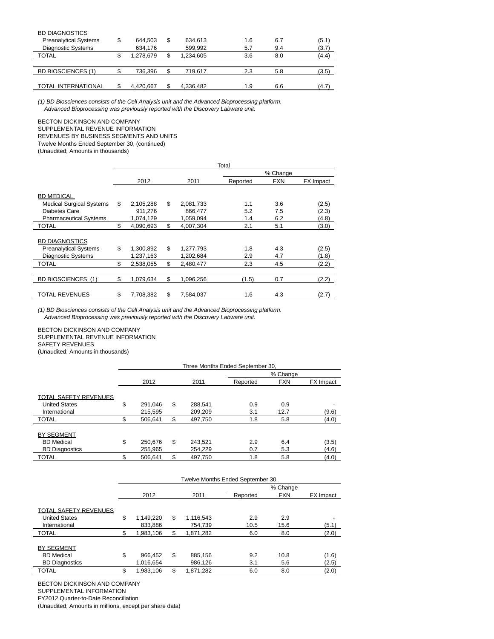| <b>BD DIAGNOSTICS</b>        |   |           |   |           |     |     |       |
|------------------------------|---|-----------|---|-----------|-----|-----|-------|
| <b>Preanalytical Systems</b> | S | 644.503   | S | 634,613   | 1.6 | 6.7 | (5.1) |
| <b>Diagnostic Systems</b>    |   | 634,176   |   | 599,992   | 5.7 | 9.4 | (3.7) |
| <b>TOTAL</b>                 |   | 1.278.679 |   | 1,234,605 | 3.6 | 8.0 | (4.4) |
|                              |   |           |   |           |     |     |       |
| <b>BD BIOSCIENCES (1)</b>    |   | 736.396   |   | 719.617   | 2.3 | 5.8 | (3.5) |
|                              |   |           |   |           |     |     |       |
| <b>TOTAL INTERNATIONAL</b>   |   | 4.420.667 |   | 4.336.482 | 1.9 | 6.6 | (4.7) |

(1) BD Biosciences consists of the Cell Analysis unit and the Advanced Bioprocessing platform. Advanced Bioprocessing was previously reported with the Discovery Labware unit.

### BECTON DICKINSON AND COMPANY

SUPPLEMENTAL REVENUE INFORMATION REVENUES BY BUSINESS SEGMENTS AND UNITS Twelve Months Ended September 30, (continued)

(Unaudited; Amounts in thousands)

|                                 |                 |    |           | Total                               |     |       |  |
|---------------------------------|-----------------|----|-----------|-------------------------------------|-----|-------|--|
|                                 |                 |    |           | % Change<br><b>FXN</b><br>FX Impact |     |       |  |
|                                 | 2012            |    | 2011      | Reported                            |     |       |  |
| <b>BD MEDICAL</b>               |                 |    |           |                                     |     |       |  |
| <b>Medical Surgical Systems</b> | \$<br>2,105,288 | \$ | 2,081,733 | 1.1                                 | 3.6 | (2.5) |  |
| Diabetes Care                   | 911,276         |    | 866,477   | 5.2                                 | 7.5 | (2.3) |  |
| <b>Pharmaceutical Systems</b>   | 1,074,129       |    | 1,059,094 | 1.4                                 | 6.2 | (4.8) |  |
| TOTAL                           | \$<br>4.090.693 | \$ | 4.007.304 | 2.1                                 | 5.1 | (3.0) |  |
| <b>BD DIAGNOSTICS</b>           |                 |    |           |                                     |     |       |  |
| <b>Preanalytical Systems</b>    | \$<br>1,300,892 | \$ | 1,277,793 | 1.8                                 | 4.3 | (2.5) |  |
| <b>Diagnostic Systems</b>       | 1,237,163       |    | 1,202,684 | 2.9                                 | 4.7 | (1.8) |  |
| TOTAL                           | \$<br>2,538,055 | \$ | 2,480,477 | 2.3                                 | 4.5 | (2.2) |  |
|                                 |                 |    |           |                                     |     |       |  |
| <b>BD BIOSCIENCES (1)</b>       | \$<br>1,079,634 | \$ | 1.096.256 | (1.5)                               | 0.7 | (2.2) |  |
| TOTAL REVENUES                  | \$<br>7.708.382 | S  | 7.584.037 | 1.6                                 | 4.3 | (2.7) |  |

(1) BD Biosciences consists of the Cell Analysis unit and the Advanced Bioprocessing platform. Advanced Bioprocessing was previously reported with the Discovery Labware unit.

BECTON DICKINSON AND COMPANY SUPPLEMENTAL REVENUE INFORMATION SAFETY REVENUES (Unaudited; Amounts in thousands)

|                              | Three Months Ended September 30. |          |         |          |            |                  |  |  |  |  |  |
|------------------------------|----------------------------------|----------|---------|----------|------------|------------------|--|--|--|--|--|
|                              |                                  | % Change |         |          |            |                  |  |  |  |  |  |
|                              | 2012                             |          | 2011    | Reported | <b>FXN</b> | <b>FX</b> Impact |  |  |  |  |  |
| <b>TOTAL SAFETY REVENUES</b> |                                  |          |         |          |            |                  |  |  |  |  |  |
| <b>United States</b>         | \$<br>291.046                    | \$       | 288.541 | 0.9      | 0.9        |                  |  |  |  |  |  |
| International                | 215.595                          |          | 209.209 | 3.1      | 12.7       | (9.6)            |  |  |  |  |  |
| <b>TOTAL</b>                 | \$<br>506,641                    | \$       | 497,750 | 1.8      | 5.8        | (4.0)            |  |  |  |  |  |
| <b>BY SEGMENT</b>            |                                  |          |         |          |            |                  |  |  |  |  |  |
| <b>BD</b> Medical            | \$<br>250.676                    | \$       | 243.521 | 2.9      | 6.4        | (3.5)            |  |  |  |  |  |
| <b>BD Diagnostics</b>        | 255,965                          |          | 254,229 | 0.7      | 5.3        | (4.6)            |  |  |  |  |  |
| <b>TOTAL</b>                 | \$<br>506.641                    | \$       | 497.750 | 1.8      | 5.8        | (4.0)            |  |  |  |  |  |

|                                        | Twelve Months Ended September 30, |           |    |           |          |            |           |  |  |  |  |  |
|----------------------------------------|-----------------------------------|-----------|----|-----------|----------|------------|-----------|--|--|--|--|--|
|                                        |                                   | % Change  |    |           |          |            |           |  |  |  |  |  |
|                                        |                                   | 2012      |    | 2011      | Reported | <b>FXN</b> | FX Impact |  |  |  |  |  |
| <b>TOTAL SAFETY REVENUES</b>           |                                   |           |    |           |          |            |           |  |  |  |  |  |
| <b>United States</b>                   | \$                                | 1.149.220 | \$ | 1.116.543 | 2.9      | 2.9        |           |  |  |  |  |  |
| International                          |                                   | 833.886   |    | 754.739   | 10.5     | 15.6       | (5.1)     |  |  |  |  |  |
| <b>TOTAL</b>                           | \$.                               | 1,983,106 | \$ | 1,871,282 | 6.0      | 8.0        | (2.0)     |  |  |  |  |  |
| <b>BY SEGMENT</b><br><b>BD</b> Medical | \$                                | 966.452   | \$ | 885.156   | 9.2      | 10.8       | (1.6)     |  |  |  |  |  |
| <b>BD Diagnostics</b>                  |                                   | 1.016.654 |    | 986.126   | 3.1      | 5.6        | (2.5)     |  |  |  |  |  |
| <b>TOTAL</b>                           | \$                                | 1.983.106 | \$ | 1.871.282 | 6.0      | 8.0        | (2.0)     |  |  |  |  |  |

BECTON DICKINSON AND COMPANY

SUPPLEMENTAL INFORMATION

FY2012 Quarter-to-Date Reconciliation

(Unaudited; Amounts in millions, except per share data)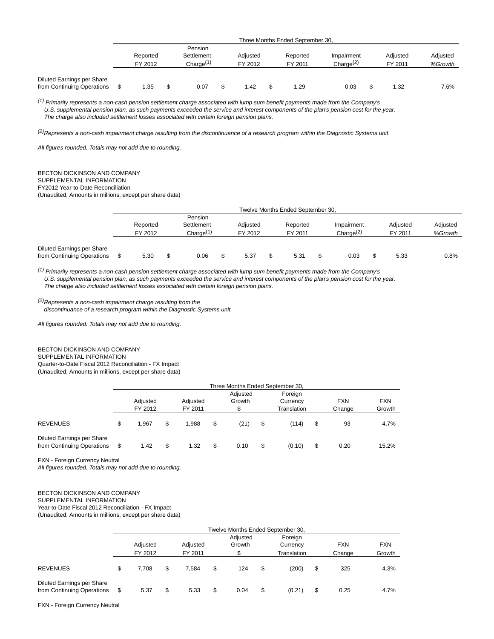|                                                          | Three Months Ended September 30, |                     |  |                                       |  |                     |  |                     |                                     |  |                     |                     |
|----------------------------------------------------------|----------------------------------|---------------------|--|---------------------------------------|--|---------------------|--|---------------------|-------------------------------------|--|---------------------|---------------------|
|                                                          |                                  | Reported<br>FY 2012 |  | Pension<br>Settlement<br>Charge $(1)$ |  | Adjusted<br>FY 2012 |  | Reported<br>FY 2011 | Impairment<br>Change <sup>(2)</sup> |  | Adjusted<br>FY 2011 | Adjusted<br>%Growth |
| Diluted Earnings per Share<br>from Continuing Operations |                                  | . 35                |  | 0.07                                  |  | 1.42                |  | 1.29                | 0.03                                |  | 1.32                | 7.6%                |

 $(1)$  Primarily represents a non-cash pension settlement charge associated with lump sum benefit payments made from the Company's U.S. supplemental pension plan, as such payments exceeded the service and interest components of the plan's pension cost for the year. The charge also included settlement losses associated with certain foreign pension plans.

 $(2)$ Represents a non-cash impairment charge resulting from the discontinuance of a research program within the Diagnostic Systems unit.

All figures rounded. Totals may not add due to rounding.

## BECTON DICKINSON AND COMPANY

#### SUPPLEMENTAL INFORMATION

FY2012 Year-to-Date Reconciliation

(Unaudited; Amounts in millions, except per share data)

|                                                          | Twelve Months Ended September 30, |  |                                                |  |                     |  |                     |   |                                     |  |                     |                     |
|----------------------------------------------------------|-----------------------------------|--|------------------------------------------------|--|---------------------|--|---------------------|---|-------------------------------------|--|---------------------|---------------------|
|                                                          | Reported<br>FY 2012               |  | Pension<br>Settlement<br>Change <sup>(1)</sup> |  | Adjusted<br>FY 2012 |  | Reported<br>FY 2011 |   | Impairment<br>Change <sup>(2)</sup> |  | Adiusted<br>FY 2011 | Adjusted<br>%Growth |
| Diluted Earnings per Share<br>from Continuing Operations | 5.30                              |  | 0.06                                           |  | 5.37                |  | 5.31                | S | 0.03                                |  | 5.33                | 0.8%                |

 $<sup>(1)</sup>$  Primarily represents a non-cash pension settlement charge associated with lump sum benefit payments made from the Company's</sup> U.S. supplemental pension plan, as such payments exceeded the service and interest components of the plan's pension cost for the year. The charge also included settlement losses associated with certain foreign pension plans.

 $(2)$ Represents a non-cash impairment charge resulting from the discontinuance of a research program within the Diagnostic Systems unit.

All figures rounded. Totals may not add due to rounding.

## BECTON DICKINSON AND COMPANY

SUPPLEMENTAL INFORMATION

Quarter-to-Date Fiscal 2012 Reconciliation - FX Impact

(Unaudited; Amounts in millions, except per share data)

|                                                                 |                                            | Three Months Ended September 30, |    |       |    |                    |    |                                    |    |                      |                      |
|-----------------------------------------------------------------|--------------------------------------------|----------------------------------|----|-------|----|--------------------|----|------------------------------------|----|----------------------|----------------------|
|                                                                 | Adjusted<br>Adjusted<br>FY 2012<br>FY 2011 |                                  |    |       |    | Adjusted<br>Growth |    | Foreign<br>Currency<br>Translation |    | <b>FXN</b><br>Change | <b>FXN</b><br>Growth |
| <b>REVENUES</b>                                                 | \$                                         | 1.967                            | \$ | 1.988 | \$ | (21)               | \$ | (114)                              | \$ | 93                   | 4.7%                 |
| <b>Diluted Earnings per Share</b><br>from Continuing Operations | S                                          | 1.42                             | \$ | 1.32  | \$ | 0.10               | \$ | (0.10)                             | \$ | 0.20                 | 15.2%                |

FXN - Foreign Currency Neutral

All figures rounded. Totals may not add due to rounding.

## BECTON DICKINSON AND COMPANY

SUPPLEMENTAL INFORMATION

Year-to-Date Fiscal 2012 Reconciliation - FX Impact

(Unaudited; Amounts in millions, except per share data)

|                                                                 |    | Twelve Months Ended September 30,          |    |       |    |                    |    |                                    |    |                      |                      |  |
|-----------------------------------------------------------------|----|--------------------------------------------|----|-------|----|--------------------|----|------------------------------------|----|----------------------|----------------------|--|
|                                                                 |    | Adjusted<br>Adjusted<br>FY 2012<br>FY 2011 |    |       |    | Adjusted<br>Growth |    | Foreign<br>Currency<br>Translation |    | <b>FXN</b><br>Change | <b>FXN</b><br>Growth |  |
|                                                                 |    |                                            |    |       |    |                    |    |                                    |    |                      |                      |  |
| <b>REVENUES</b>                                                 | \$ | 7.708                                      | \$ | 7.584 | \$ | 124                | \$ | (200)                              | \$ | 325                  | 4.3%                 |  |
| <b>Diluted Earnings per Share</b><br>from Continuing Operations | S  | 5.37                                       | \$ | 5.33  | \$ | 0.04               | \$ | (0.21)                             | \$ | 0.25                 | 4.7%                 |  |

FXN - Foreign Currency Neutral